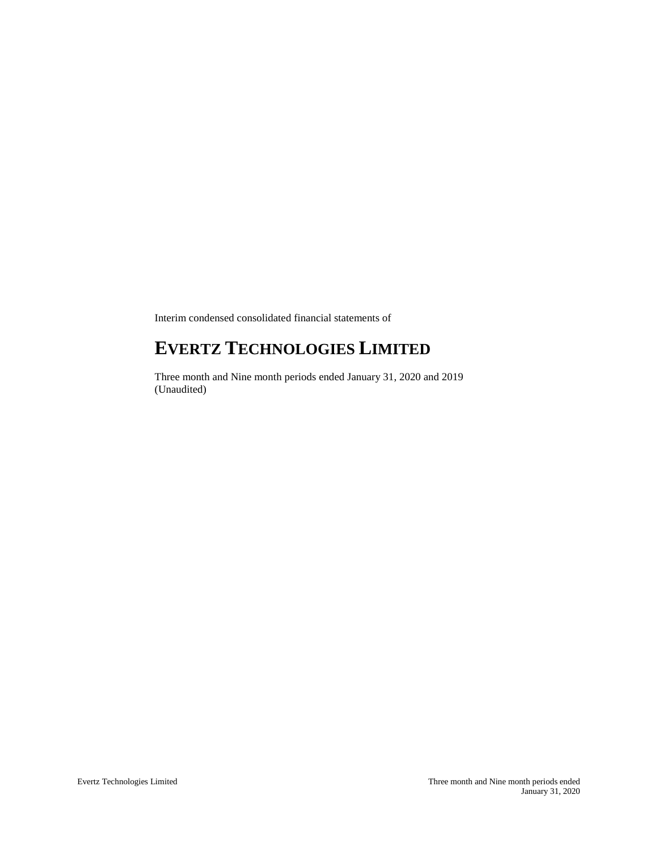Interim condensed consolidated financial statements of

# **EVERTZ TECHNOLOGIES LIMITED**

Three month and Nine month periods ended January 31, 2020 and 2019 (Unaudited)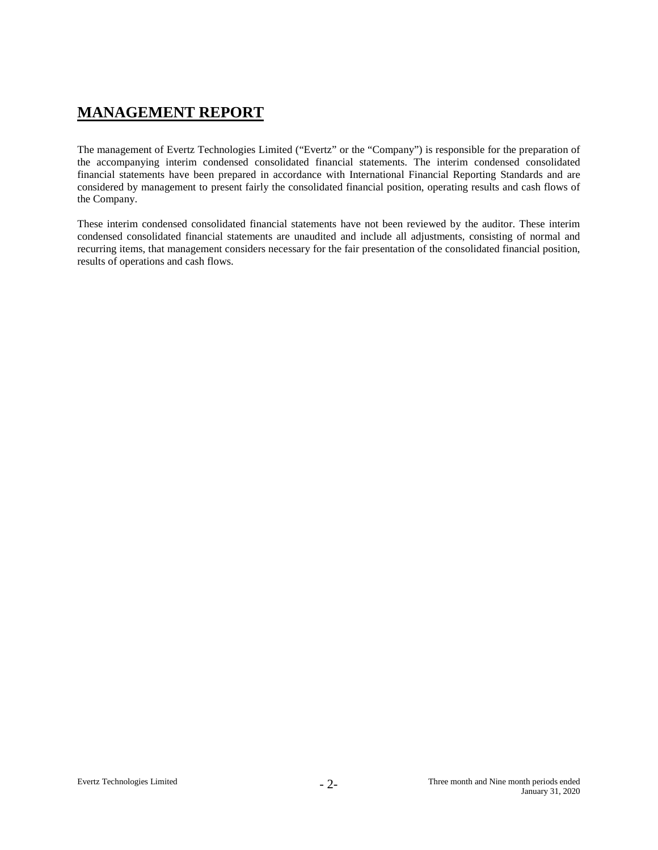# **MANAGEMENT REPORT**

The management of Evertz Technologies Limited ("Evertz" or the "Company") is responsible for the preparation of the accompanying interim condensed consolidated financial statements. The interim condensed consolidated financial statements have been prepared in accordance with International Financial Reporting Standards and are considered by management to present fairly the consolidated financial position, operating results and cash flows of the Company.

These interim condensed consolidated financial statements have not been reviewed by the auditor. These interim condensed consolidated financial statements are unaudited and include all adjustments, consisting of normal and recurring items, that management considers necessary for the fair presentation of the consolidated financial position, results of operations and cash flows.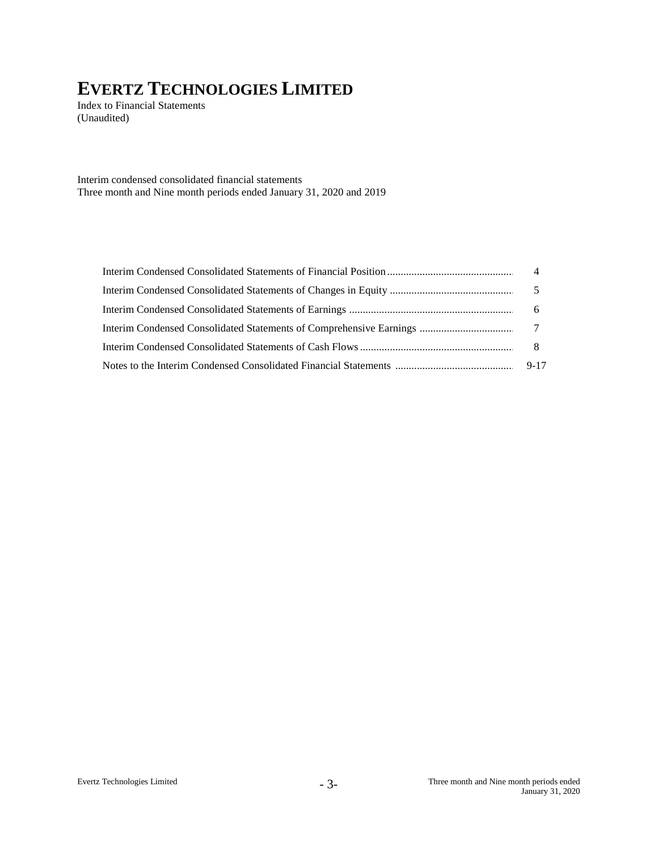Index to Financial Statements (Unaudited)

Interim condensed consolidated financial statements Three month and Nine month periods ended January 31, 2020 and 2019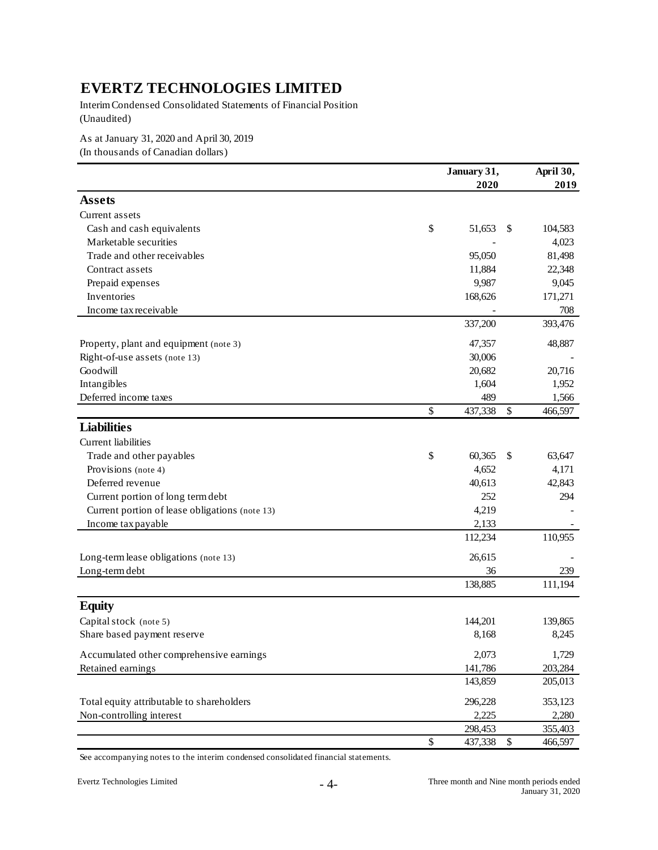Interim Condensed Consolidated Statements of Financial Position (Unaudited)

As at January 31, 2020 and April 30, 2019

(In thousands of Canadian dollars)

|                                                |              | January 31, | April 30,         |         |  |  |
|------------------------------------------------|--------------|-------------|-------------------|---------|--|--|
|                                                |              | 2020        |                   | 2019    |  |  |
| <b>Assets</b>                                  |              |             |                   |         |  |  |
| Current assets                                 |              |             |                   |         |  |  |
| Cash and cash equivalents                      | \$           | 51,653      | \$                | 104,583 |  |  |
| Marketable securities                          |              |             |                   | 4,023   |  |  |
| Trade and other receivables                    |              | 95,050      |                   | 81,498  |  |  |
| Contract assets                                |              | 11,884      |                   | 22,348  |  |  |
| Prepaid expenses                               |              | 9,987       |                   | 9,045   |  |  |
| Inventories                                    |              | 168,626     |                   | 171,271 |  |  |
| Income tax receivable                          |              |             |                   | 708     |  |  |
|                                                |              | 337,200     |                   | 393,476 |  |  |
| Property, plant and equipment (note 3)         |              | 47,357      |                   | 48,887  |  |  |
| Right-of-use assets (note 13)                  |              | 30,006      |                   |         |  |  |
| Goodwill                                       |              | 20,682      |                   | 20,716  |  |  |
| Intangibles                                    |              | 1,604       |                   | 1,952   |  |  |
| Deferred income taxes                          |              | 489         |                   | 1,566   |  |  |
|                                                | \$           | 437,338     | \$                | 466,597 |  |  |
| <b>Liabilities</b>                             |              |             |                   |         |  |  |
| Current liabilities                            |              |             |                   |         |  |  |
| Trade and other payables                       | \$           | 60,365      | \$                | 63,647  |  |  |
| Provisions (note 4)                            |              | 4,652       |                   | 4,171   |  |  |
| Deferred revenue                               |              | 40,613      |                   | 42,843  |  |  |
| Current portion of long term debt              |              | 252         |                   | 294     |  |  |
| Current portion of lease obligations (note 13) |              | 4,219       |                   |         |  |  |
| Income tax payable                             |              | 2,133       |                   |         |  |  |
|                                                |              | 112,234     |                   | 110,955 |  |  |
| Long-term lease obligations (note 13)          |              | 26,615      |                   |         |  |  |
| Long-term debt                                 |              | 36          |                   | 239     |  |  |
|                                                |              | 138,885     |                   | 111,194 |  |  |
| <b>Equity</b>                                  |              |             |                   |         |  |  |
| Capital stock (note 5)                         |              | 144,201     |                   | 139,865 |  |  |
| Share based payment reserve                    |              | 8,168       |                   | 8,245   |  |  |
| Accumulated other comprehensive earnings       |              | 2,073       |                   | 1,729   |  |  |
| Retained earnings                              |              | 141,786     |                   | 203,284 |  |  |
|                                                |              | 143,859     |                   | 205,013 |  |  |
| Total equity attributable to shareholders      |              | 296,228     |                   | 353,123 |  |  |
| Non-controlling interest                       |              | 2,225       |                   | 2,280   |  |  |
|                                                |              | 298,453     |                   | 355,403 |  |  |
|                                                | $\mathbb{S}$ | 437,338     | $\boldsymbol{\$}$ | 466,597 |  |  |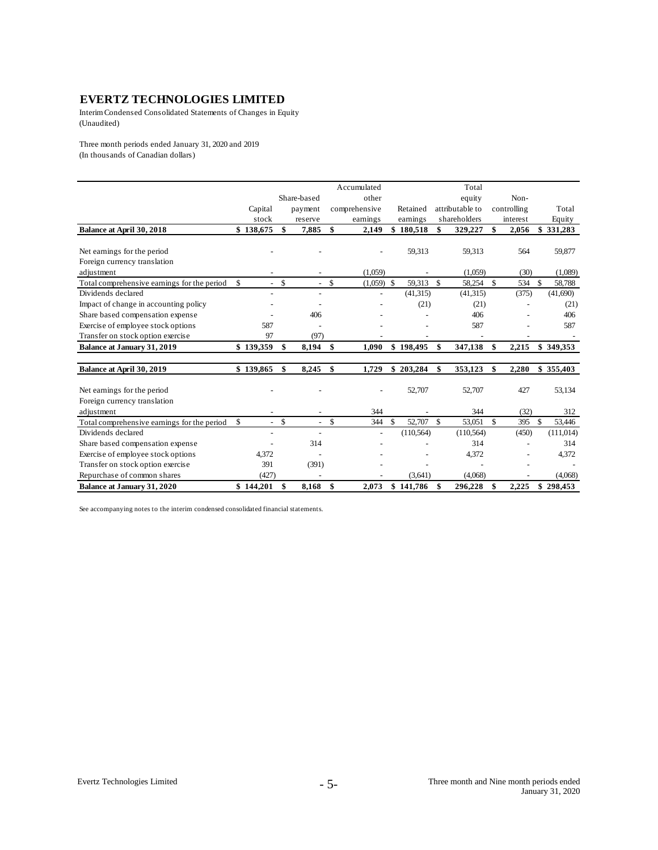Interim Condensed Consolidated Statements of Changes in Equity (Unaudited)

Three month periods ended January 31, 2020 and 2019 (In thousands of Canadian dollars)

|                                             |                         |                    |                          |               | Accumulated   |              |                    | Total           |             |              |            |
|---------------------------------------------|-------------------------|--------------------|--------------------------|---------------|---------------|--------------|--------------------|-----------------|-------------|--------------|------------|
|                                             |                         |                    | Share-based              |               | other         |              |                    | equity          | Non-        |              |            |
|                                             | Capital                 |                    | payment                  |               | comprehensive | Retained     |                    | attributable to | controlling |              | Total      |
|                                             | stock                   |                    | reserve                  |               | earnings      | earnings     |                    | shareholders    | interest    |              | Equity     |
| Balance at April 30, 2018                   | \$138,675               | \$                 | 7,885                    | \$            | 2,149         | \$180.518    | \$                 | 329,227         | \$<br>2,056 |              | \$331,283  |
|                                             |                         |                    |                          |               |               |              |                    |                 |             |              |            |
| Net earnings for the period                 |                         |                    |                          |               |               | 59,313       |                    | 59,313          | 564         |              | 59,877     |
| Foreign currency translation                |                         |                    |                          |               |               |              |                    |                 |             |              |            |
| adjustment                                  |                         |                    |                          |               | (1,059)       |              |                    | (1,059)         | (30)        |              | (1,089)    |
| Total comprehensive earnings for the period | \$<br>$\sim$            | $\mathbf{\hat{s}}$ | $\overline{\phantom{a}}$ | \$            | $(1,059)$ \$  | 59,313       | $\mathbf{s}$       | 58,254 \$       | 534         | $\mathbf{s}$ | 58,788     |
| Dividends declared                          |                         |                    |                          |               |               | (41, 315)    |                    | (41, 315)       | (375)       |              | (41,690)   |
| Impact of change in accounting policy       |                         |                    |                          |               |               | (21)         |                    | (21)            |             |              | (21)       |
| Share based compensation expense            |                         |                    | 406                      |               |               |              |                    | 406             |             |              | 406        |
| Exercise of employee stock options          | 587                     |                    |                          |               |               |              |                    | 587             |             |              | 587        |
| Transfer on stock option exercise           | 97                      |                    | (97)                     |               |               |              |                    |                 |             |              |            |
| <b>Balance at January 31, 2019</b>          | \$139,359               | \$                 | 8,194                    | \$            | 1.090         | \$198,495    | \$                 | 347,138         | \$<br>2,215 |              | \$349,353  |
|                                             |                         |                    |                          |               |               |              |                    |                 |             |              |            |
| Balance at April 30, 2019                   | \$139,865               | \$                 | 8,245                    | \$            | 1,729         | \$203,284    | \$                 | 353,123         | \$<br>2,280 |              | \$355,403  |
|                                             |                         |                    |                          |               |               |              |                    |                 |             |              |            |
| Net earnings for the period                 |                         |                    |                          |               |               | 52,707       |                    | 52,707          | 427         |              | 53,134     |
| Foreign currency translation                |                         |                    |                          |               |               |              |                    |                 |             |              |            |
| adjustment                                  |                         |                    |                          |               | 344           |              |                    | 344             | (32)        |              | 312        |
| Total comprehensive earnings for the period | $\mathsf{\$}$<br>$\sim$ | \$                 | $\overline{\phantom{a}}$ | \$            | 344           | \$<br>52,707 | $\mathbf{\hat{s}}$ | 53,051          | \$<br>395   | \$           | 53,446     |
| Dividends declared                          |                         |                    |                          |               |               | (110, 564)   |                    | (110, 564)      | (450)       |              | (111, 014) |
| Share based compensation expense            |                         |                    | 314                      |               |               |              |                    | 314             |             |              | 314        |
| Exercise of employee stock options          | 4,372                   |                    |                          |               |               |              |                    | 4,372           |             |              | 4,372      |
| Transfer on stock option exercise           | 391                     |                    | (391)                    |               |               |              |                    |                 |             |              |            |
| Repurchase of common shares                 | (427)                   |                    |                          |               |               | (3,641)      |                    | (4,068)         |             |              | (4,068)    |
| <b>Balance at January 31, 2020</b>          | \$144,201               | \$                 | 8,168                    | <sup>\$</sup> | 2.073         | \$141,786    | \$                 | 296,228         | \$<br>2,225 |              | \$298,453  |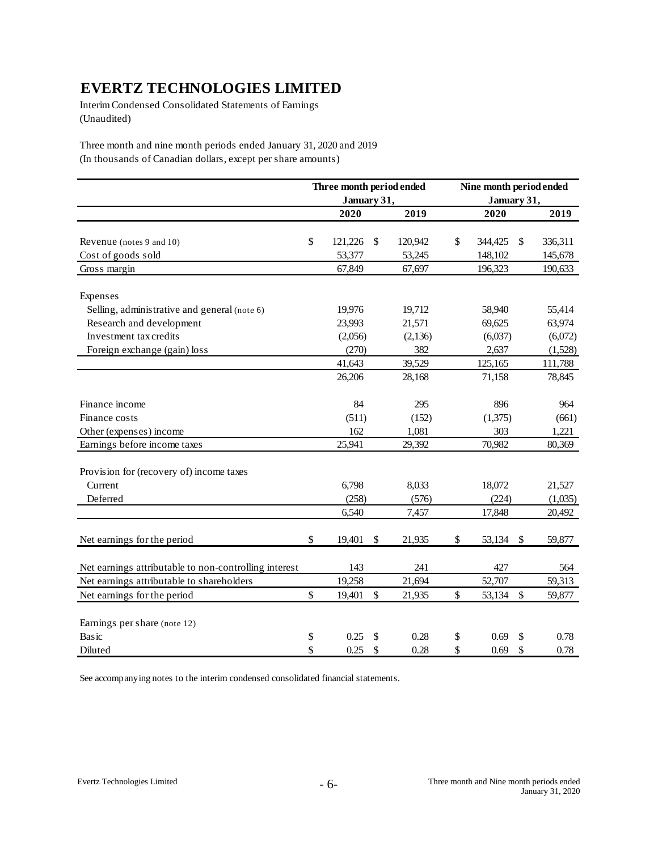Interim Condensed Consolidated Statements of Earnings (Unaudited)

Three month and nine month periods ended January 31, 2020 and 2019 (In thousands of Canadian dollars, except per share amounts)

|                                                       | Three month period ended |               | Nine month period ended |             |    |         |  |  |
|-------------------------------------------------------|--------------------------|---------------|-------------------------|-------------|----|---------|--|--|
|                                                       | January 31,              |               |                         | January 31, |    |         |  |  |
|                                                       | 2020                     | 2019          |                         | 2020        |    | 2019    |  |  |
|                                                       |                          |               |                         |             |    |         |  |  |
| Revenue (notes 9 and 10)                              | \$<br>121,226            | \$<br>120,942 | \$                      | 344,425     | \$ | 336,311 |  |  |
| Cost of goods sold                                    | 53,377                   | 53,245        |                         | 148,102     |    | 145,678 |  |  |
| Gross margin                                          | 67,849                   | 67,697        |                         | 196,323     |    | 190,633 |  |  |
| Expenses                                              |                          |               |                         |             |    |         |  |  |
| Selling, administrative and general (note 6)          | 19,976                   | 19,712        |                         | 58,940      |    | 55,414  |  |  |
| Research and development                              | 23,993                   | 21,571        |                         | 69,625      |    | 63,974  |  |  |
| Investment tax credits                                | (2,056)                  | (2,136)       |                         | (6,037)     |    | (6,072) |  |  |
| Foreign exchange (gain) loss                          | (270)                    | 382           |                         | 2,637       |    | (1,528) |  |  |
|                                                       | 41,643                   | 39,529        |                         | 125,165     |    | 111,788 |  |  |
|                                                       | 26,206                   | 28,168        |                         | 71,158      |    | 78,845  |  |  |
| Finance income                                        | 84                       | 295           |                         | 896         |    | 964     |  |  |
| Finance costs                                         | (511)                    | (152)         |                         | (1,375)     |    | (661)   |  |  |
| Other (expenses) income                               | 162                      | 1,081         |                         | 303         |    | 1,221   |  |  |
| Earnings before income taxes                          | 25,941                   | 29,392        |                         | 70,982      |    | 80,369  |  |  |
| Provision for (recovery of) income taxes              |                          |               |                         |             |    |         |  |  |
| Current                                               | 6,798                    | 8,033         |                         | 18,072      |    | 21,527  |  |  |
| Deferred                                              | (258)                    | (576)         |                         | (224)       |    | (1,035) |  |  |
|                                                       | 6,540                    | 7,457         |                         | 17,848      |    | 20,492  |  |  |
| Net earnings for the period                           | \$<br>19,401             | \$<br>21,935  | \$                      | 53,134      | \$ | 59,877  |  |  |
| Net earnings attributable to non-controlling interest | 143                      | 241           |                         | 427         |    | 564     |  |  |
| Net earnings attributable to shareholders             | 19,258                   | 21,694        |                         | 52,707      |    | 59,313  |  |  |
| Net earnings for the period                           | \$<br>19,401             | \$<br>21,935  | \$                      | 53,134      | \$ | 59,877  |  |  |
| Earnings per share (note 12)                          |                          |               |                         |             |    |         |  |  |
| Basic                                                 | \$<br>0.25               | \$<br>0.28    | \$                      | 0.69        | \$ | 0.78    |  |  |
| Diluted                                               | \$<br>0.25               | \$<br>0.28    | \$                      | 0.69        | \$ | 0.78    |  |  |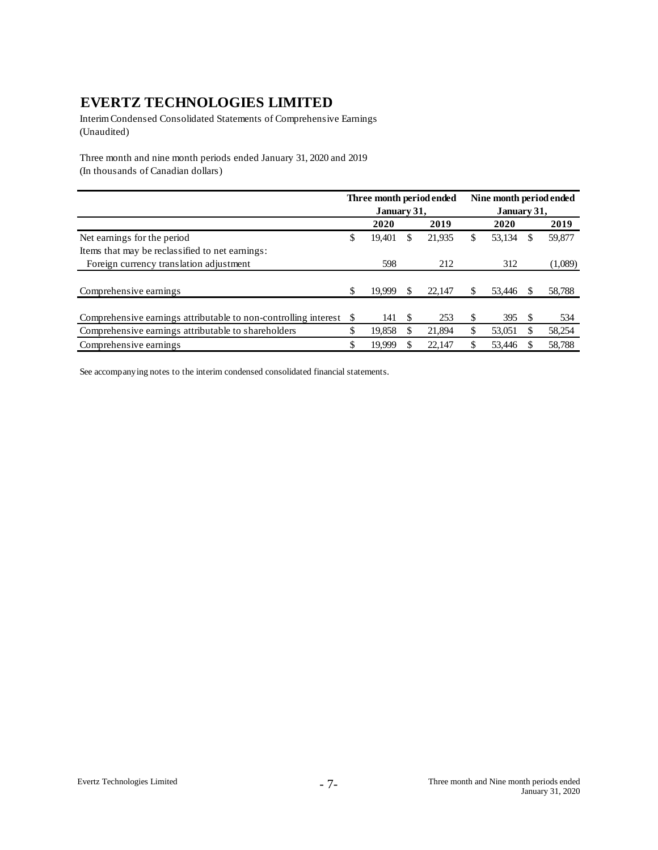Interim Condensed Consolidated Statements of Comprehensive Earnings (Unaudited)

Three month and nine month periods ended January 31, 2020 and 2019 (In thousands of Canadian dollars)

|                                                                        |        |   |        | Nine month period ended                 |        |     |             |  |
|------------------------------------------------------------------------|--------|---|--------|-----------------------------------------|--------|-----|-------------|--|
|                                                                        |        |   |        |                                         |        |     |             |  |
|                                                                        | 2020   |   | 2019   |                                         | 2020   |     | 2019        |  |
| \$                                                                     | 19,401 | S | 21,935 | \$                                      | 53,134 | \$. | 59,877      |  |
|                                                                        |        |   |        |                                         |        |     |             |  |
|                                                                        | 598    |   | 212    |                                         | 312    |     | (1,089)     |  |
|                                                                        |        |   |        |                                         |        |     |             |  |
| \$                                                                     | 19.999 | S | 22,147 | S                                       | 53,446 | S.  | 58,788      |  |
|                                                                        |        |   |        |                                         |        |     |             |  |
| Comprehensive earnings attributable to non-controlling interest<br>\$. | 141    | S | 253    | \$                                      | 395    | £.  | 534         |  |
| \$                                                                     | 19.858 |   | 21.894 | \$                                      | 53,051 |     | 58,254      |  |
| \$                                                                     | 19.999 |   | 22,147 |                                         | 53,446 |     | 58,788      |  |
|                                                                        |        |   |        | Three month period ended<br>January 31, |        |     | January 31, |  |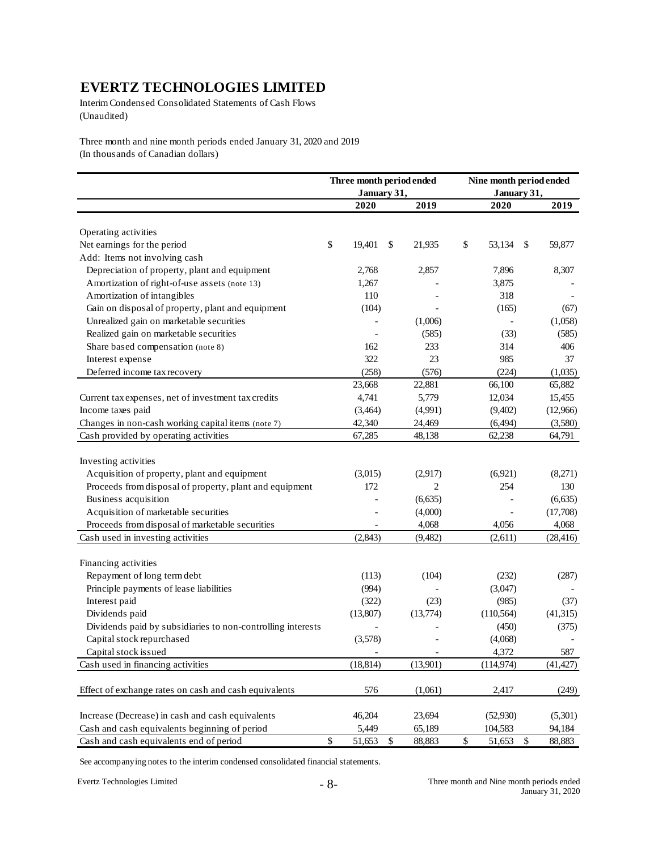Interim Condensed Consolidated Statements of Cash Flows (Unaudited)

Three month and nine month periods ended January 31, 2020 and 2019 (In thousands of Canadian dollars)

|                                                             | Three month period ended |              | Nine month period ended |             |                           |           |  |
|-------------------------------------------------------------|--------------------------|--------------|-------------------------|-------------|---------------------------|-----------|--|
|                                                             | January 31,              |              |                         | January 31, |                           |           |  |
|                                                             | 2020                     | 2019         |                         | 2020        |                           | 2019      |  |
| Operating activities                                        |                          |              |                         |             |                           |           |  |
| Net earnings for the period                                 | \$<br>19,401             | \$<br>21,935 | \$                      | 53,134      | $\mathbb{S}$              | 59,877    |  |
| Add: Items not involving cash                               |                          |              |                         |             |                           |           |  |
| Depreciation of property, plant and equipment               | 2,768                    | 2,857        |                         | 7,896       |                           | 8,307     |  |
| Amortization of right-of-use assets (note 13)               | 1,267                    |              |                         | 3,875       |                           |           |  |
| Amortization of intangibles                                 | 110                      |              |                         | 318         |                           |           |  |
|                                                             |                          |              |                         |             |                           |           |  |
| Gain on disposal of property, plant and equipment           | (104)                    |              |                         | (165)       |                           | (67)      |  |
| Unrealized gain on marketable securities                    |                          | (1,006)      |                         |             |                           | (1,058)   |  |
| Realized gain on marketable securities                      |                          | (585)        |                         | (33)        |                           | (585)     |  |
| Share based compensation (note 8)                           | 162                      | 233          |                         | 314         |                           | 406       |  |
| Interest expense                                            | 322                      | 23           |                         | 985         |                           | 37        |  |
| Deferred income tax recovery                                | (258)                    | (576)        |                         | (224)       |                           | (1,035)   |  |
|                                                             | 23,668                   | 22,881       |                         | 66,100      |                           | 65,882    |  |
| Current tax expenses, net of investment tax credits         | 4,741                    | 5,779        |                         | 12,034      |                           | 15,455    |  |
| Income taxes paid                                           | (3,464)                  | (4,991)      |                         | (9,402)     |                           | (12,966)  |  |
| Changes in non-cash working capital items (note 7)          | 42,340                   | 24,469       |                         | (6, 494)    |                           | (3,580)   |  |
| Cash provided by operating activities                       | 67,285                   | 48,138       |                         | 62,238      |                           | 64,791    |  |
|                                                             |                          |              |                         |             |                           |           |  |
| Investing activities                                        |                          |              |                         |             |                           |           |  |
| Acquisition of property, plant and equipment                | (3,015)                  | (2,917)      |                         | (6,921)     |                           | (8,271)   |  |
| Proceeds from disposal of property, plant and equipment     | 172                      | 2            |                         | 254         |                           | 130       |  |
| Business acquisition                                        |                          | (6, 635)     |                         |             |                           | (6, 635)  |  |
| Acquisition of marketable securities                        |                          | (4,000)      |                         |             |                           | (17,708)  |  |
| Proceeds from disposal of marketable securities             |                          | 4,068        |                         | 4,056       |                           | 4,068     |  |
| Cash used in investing activities                           | (2, 843)                 | (9,482)      |                         | (2,611)     |                           | (28, 416) |  |
|                                                             |                          |              |                         |             |                           |           |  |
| Financing activities                                        |                          |              |                         |             |                           |           |  |
| Repayment of long term debt                                 | (113)                    | (104)        |                         | (232)       |                           | (287)     |  |
| Principle payments of lease liabilities                     | (994)                    |              |                         | (3,047)     |                           |           |  |
| Interest paid                                               | (322)                    | (23)         |                         | (985)       |                           | (37)      |  |
| Dividends paid                                              | (13,807)                 | (13,774)     |                         | (110, 564)  |                           | (41,315)  |  |
| Dividends paid by subsidiaries to non-controlling interests |                          |              |                         | (450)       |                           | (375)     |  |
| Capital stock repurchased                                   | (3,578)                  |              |                         | (4,068)     |                           |           |  |
| Capital stock is sued                                       |                          |              |                         | 4,372       |                           | 587       |  |
| Cash used in financing activities                           | (18, 814)                | (13,901)     |                         | (114, 974)  |                           | (41, 427) |  |
|                                                             |                          |              |                         |             |                           |           |  |
| Effect of exchange rates on cash and cash equivalents       | 576                      | (1,061)      |                         | 2,417       |                           | (249)     |  |
| Increase (Decrease) in cash and cash equivalents            | 46,204                   | 23,694       |                         | (52,930)    |                           | (5,301)   |  |
| Cash and cash equivalents beginning of period               | 5,449                    | 65,189       |                         | 104,583     |                           | 94,184    |  |
| Cash and cash equivalents end of period                     | \$<br>51,653             | \$<br>88,883 | \$                      | 51,653      | $\boldsymbol{\mathsf{S}}$ | 88,883    |  |
|                                                             |                          |              |                         |             |                           |           |  |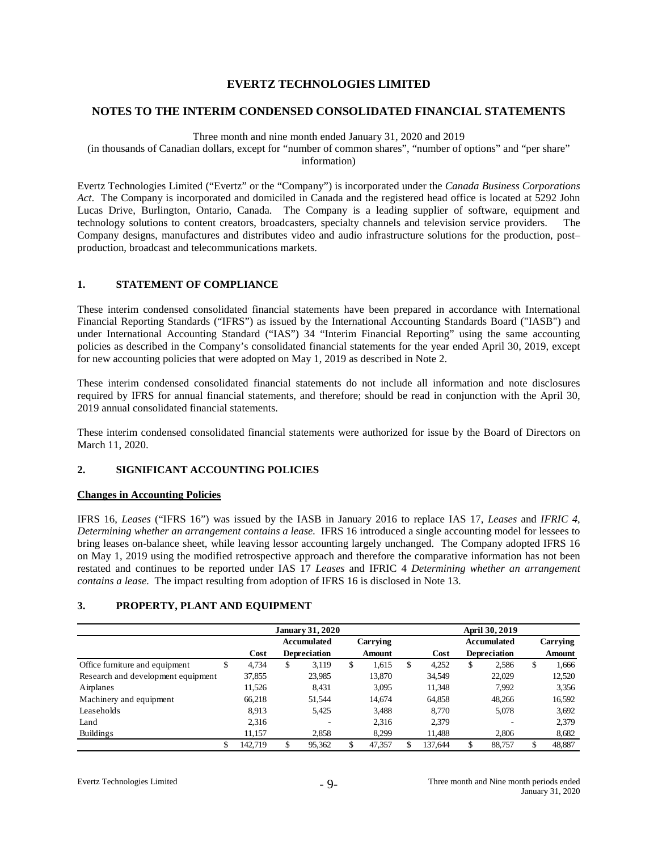#### **NOTES TO THE INTERIM CONDENSED CONSOLIDATED FINANCIAL STATEMENTS**

Three month and nine month ended January 31, 2020 and 2019

(in thousands of Canadian dollars, except for "number of common shares", "number of options" and "per share" information)

Evertz Technologies Limited ("Evertz" or the "Company") is incorporated under the *Canada Business Corporations Act*. The Company is incorporated and domiciled in Canada and the registered head office is located at 5292 John Lucas Drive, Burlington, Ontario, Canada. The Company is a leading supplier of software, equipment and technology solutions to content creators, broadcasters, specialty channels and television service providers. The Company designs, manufactures and distributes video and audio infrastructure solutions for the production, post– production, broadcast and telecommunications markets.

#### **1. STATEMENT OF COMPLIANCE**

These interim condensed consolidated financial statements have been prepared in accordance with International Financial Reporting Standards ("IFRS") as issued by the International Accounting Standards Board ("IASB") and under International Accounting Standard ("IAS") 34 "Interim Financial Reporting" using the same accounting policies as described in the Company's consolidated financial statements for the year ended April 30, 2019, except for new accounting policies that were adopted on May 1, 2019 as described in Note 2.

These interim condensed consolidated financial statements do not include all information and note disclosures required by IFRS for annual financial statements, and therefore; should be read in conjunction with the April 30, 2019 annual consolidated financial statements.

These interim condensed consolidated financial statements were authorized for issue by the Board of Directors on March 11, 2020.

### **2. SIGNIFICANT ACCOUNTING POLICIES**

#### **Changes in Accounting Policies**

IFRS 16, *Leases* ("IFRS 16") was issued by the IASB in January 2016 to replace IAS 17, *Leases* and *IFRIC 4, Determining whether an arrangement contains a lease.* IFRS 16 introduced a single accounting model for lessees to bring leases on-balance sheet, while leaving lessor accounting largely unchanged. The Company adopted IFRS 16 on May 1, 2019 using the modified retrospective approach and therefore the comparative information has not been restated and continues to be reported under IAS 17 *Leases* and IFRIC 4 *Determining whether an arrangement contains a lease.* The impact resulting from adoption of IFRS 16 is disclosed in Note 13.

#### **3. PROPERTY, PLANT AND EQUIPMENT**

|                                    |     | <b>January 31, 2020</b> |    |                     |    |               |   | April 30, 2019 |    |                     |    |          |  |
|------------------------------------|-----|-------------------------|----|---------------------|----|---------------|---|----------------|----|---------------------|----|----------|--|
|                                    |     |                         |    | <b>Accumulated</b>  |    | Carrying      |   |                |    | Accumulated         |    | Carrying |  |
|                                    |     | Cost                    |    | <b>Depreciation</b> |    | <b>Amount</b> |   | Cost           |    | <b>Depreciation</b> |    | Amount   |  |
| Office furniture and equipment     | ۰D. | 4.734                   | \$ | 3,119               | \$ | 1,615         | S | 4,252          | \$ | 2,586               | \$ | 1,666    |  |
| Research and development equipment |     | 37,855                  |    | 23,985              |    | 13,870        |   | 34,549         |    | 22,029              |    | 12,520   |  |
| Airplanes                          |     | 11,526                  |    | 8.431               |    | 3,095         |   | 11,348         |    | 7.992               |    | 3,356    |  |
| Machinery and equipment            |     | 66,218                  |    | 51,544              |    | 14,674        |   | 64,858         |    | 48,266              |    | 16,592   |  |
| Leaseholds                         |     | 8.913                   |    | 5.425               |    | 3,488         |   | 8.770          |    | 5,078               |    | 3,692    |  |
| Land                               |     | 2,316                   |    | ۰                   |    | 2.316         |   | 2.379          |    |                     |    | 2,379    |  |
| <b>Buildings</b>                   |     | 11.157                  |    | 2.858               |    | 8.299         |   | 11,488         |    | 2.806               |    | 8,682    |  |
|                                    |     | 142.719                 |    | 95,362              |    | 47,357        |   | 137.644        | \$ | 88,757              | \$ | 48,887   |  |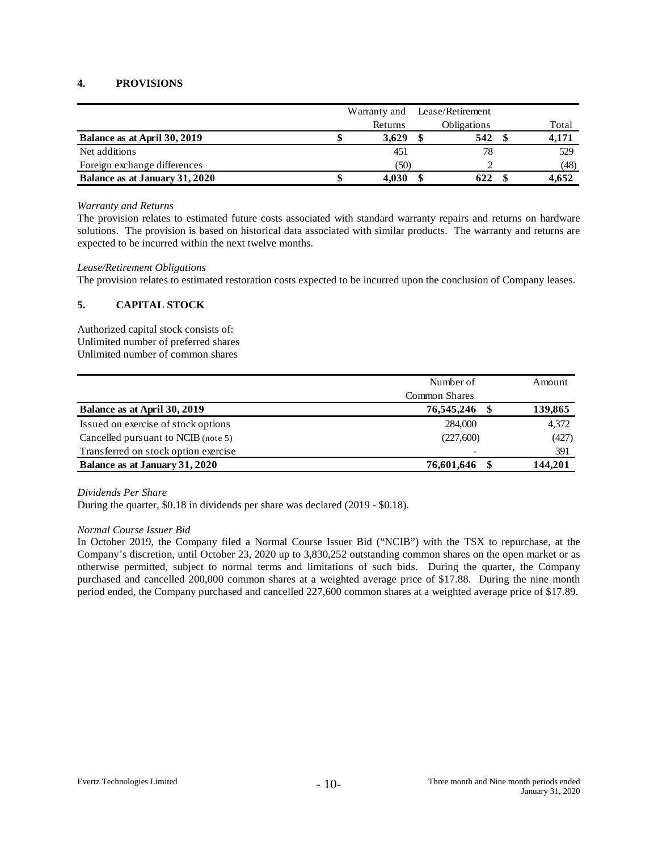### **4. PROVISIONS**

|                                | Warranty and | Lease/Retirement |       |
|--------------------------------|--------------|------------------|-------|
|                                | Returns      | Obligations      | Total |
| Balance as at April 30, 2019   | 3.629        | 542              | 4,171 |
| Net additions                  | 451          | 78               | 529   |
| Foreign exchange differences   | (50)         |                  | (48)  |
| Balance as at January 31, 2020 | 4.030        | 622              | 4,652 |

#### *Warranty and Returns*

The provision relates to estimated future costs associated with standard warranty repairs and returns on hardware solutions. The provision is based on historical data associated with similar products. The warranty and returns are expected to be incurred within the next twelve months.

#### *Lease/Retirement Obligations*

The provision relates to estimated restoration costs expected to be incurred upon the conclusion of Company leases.

### **5. CAPITAL STOCK**

Authorized capital stock consists of: Unlimited number of preferred shares Unlimited number of common shares

|                                      | Number of                | Amount  |
|--------------------------------------|--------------------------|---------|
|                                      | <b>Common Shares</b>     |         |
| Balance as at April 30, 2019         | 76,545,246               | 139,865 |
| Issued on exercise of stock options  | 284,000                  | 4,372   |
| Cancelled pursuant to NCIB (note 5)  | (227,600)                | (427)   |
| Transferred on stock option exercise | $\overline{\phantom{a}}$ | 391     |
| Balance as at January 31, 2020       | 76,601,646               | 144,201 |

#### *Dividends Per Share*

During the quarter, \$0.18 in dividends per share was declared (2019 - \$0.18).

### *Normal Course Issuer Bid*

In October 2019, the Company filed a Normal Course Issuer Bid ("NCIB") with the TSX to repurchase, at the Company's discretion, until October 23, 2020 up to 3,830,252 outstanding common shares on the open market or as otherwise permitted, subject to normal terms and limitations of such bids. During the quarter, the Company purchased and cancelled 200,000 common shares at a weighted average price of \$17.88. During the nine month period ended, the Company purchased and cancelled 227,600 common shares at a weighted average price of \$17.89.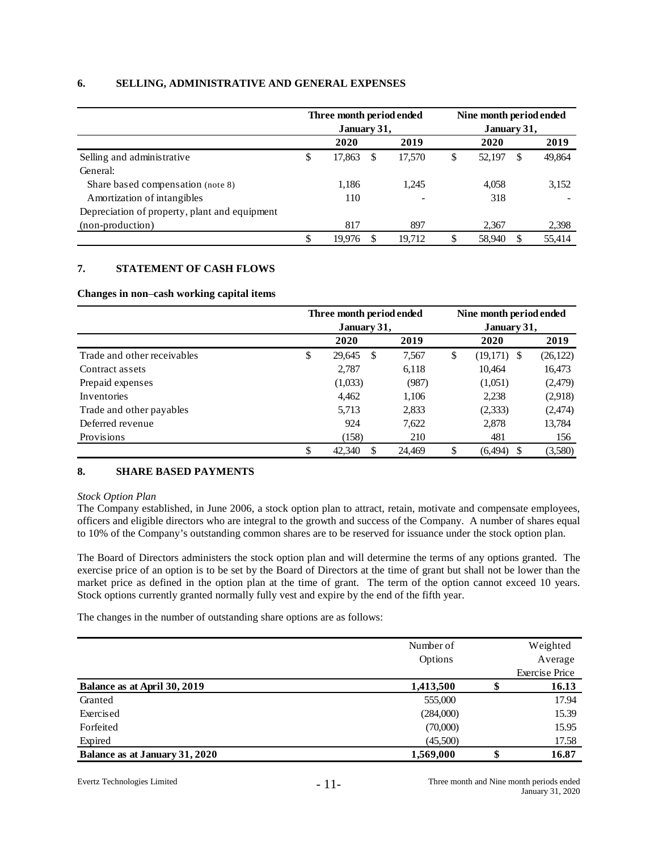#### **6. SELLING, ADMINISTRATIVE AND GENERAL EXPENSES**

|                                               | Three month period ended<br>January 31, |    |        | Nine month period ended<br>January 31, |        |    |        |  |
|-----------------------------------------------|-----------------------------------------|----|--------|----------------------------------------|--------|----|--------|--|
|                                               | 2020                                    |    | 2019   |                                        | 2020   |    | 2019   |  |
| Selling and administrative                    | \$<br>17,863                            | S  | 17,570 | \$                                     | 52,197 | S  | 49,864 |  |
| General:                                      |                                         |    |        |                                        |        |    |        |  |
| Share based compensation (note 8)             | 1,186                                   |    | 1,245  |                                        | 4,058  |    | 3,152  |  |
| Amortization of intangibles                   | 110                                     |    |        |                                        | 318    |    |        |  |
| Depreciation of property, plant and equipment |                                         |    |        |                                        |        |    |        |  |
| (non-production)                              | 817                                     |    | 897    |                                        | 2,367  |    | 2,398  |  |
|                                               | \$<br>19.976                            | S. | 19.712 | S                                      | 58,940 | S. | 55.414 |  |

#### **7. STATEMENT OF CASH FLOWS**

**Changes in non**–**cash working capital items**

|                             | Three month period ended |              |        | Nine month period ended |               |           |  |  |
|-----------------------------|--------------------------|--------------|--------|-------------------------|---------------|-----------|--|--|
|                             |                          | January 31,  |        | January 31,             |               |           |  |  |
|                             |                          | 2020         | 2019   |                         | 2020          | 2019      |  |  |
| Trade and other receivables | \$                       | 29,645<br>\$ | 7,567  | \$                      | $(19,171)$ \$ | (26, 122) |  |  |
| Contract assets             |                          | 2,787        | 6,118  |                         | 10,464        | 16,473    |  |  |
| Prepaid expenses            |                          | (1,033)      | (987)  |                         | (1,051)       | (2, 479)  |  |  |
| Inventories                 |                          | 4,462        | 1,106  |                         | 2,238         | (2,918)   |  |  |
| Trade and other payables    |                          | 5,713        | 2,833  |                         | (2, 333)      | (2, 474)  |  |  |
| Deferred revenue            |                          | 924          | 7,622  |                         | 2,878         | 13,784    |  |  |
| Provisions                  |                          | (158)        | 210    |                         | 481           | 156       |  |  |
|                             | \$                       | 42,340<br>S  | 24.469 | S                       | (6, 494)<br>S | (3,580)   |  |  |

### **8. SHARE BASED PAYMENTS**

*Stock Option Plan*

The Company established, in June 2006, a stock option plan to attract, retain, motivate and compensate employees, officers and eligible directors who are integral to the growth and success of the Company. A number of shares equal to 10% of the Company's outstanding common shares are to be reserved for issuance under the stock option plan.

The Board of Directors administers the stock option plan and will determine the terms of any options granted. The exercise price of an option is to be set by the Board of Directors at the time of grant but shall not be lower than the market price as defined in the option plan at the time of grant. The term of the option cannot exceed 10 years. Stock options currently granted normally fully vest and expire by the end of the fifth year.

The changes in the number of outstanding share options are as follows:

|                                | Number of |    | Weighted              |
|--------------------------------|-----------|----|-----------------------|
|                                | Options   |    | Average               |
|                                |           |    | <b>Exercise Price</b> |
| Balance as at April 30, 2019   | 1,413,500 | D  | 16.13                 |
| Granted                        | 555,000   |    | 17.94                 |
| Exercised                      | (284,000) |    | 15.39                 |
| Forfeited                      | (70,000)  |    | 15.95                 |
| Expired                        | (45,500)  |    | 17.58                 |
| Balance as at January 31, 2020 | 1,569,000 | \$ | 16.87                 |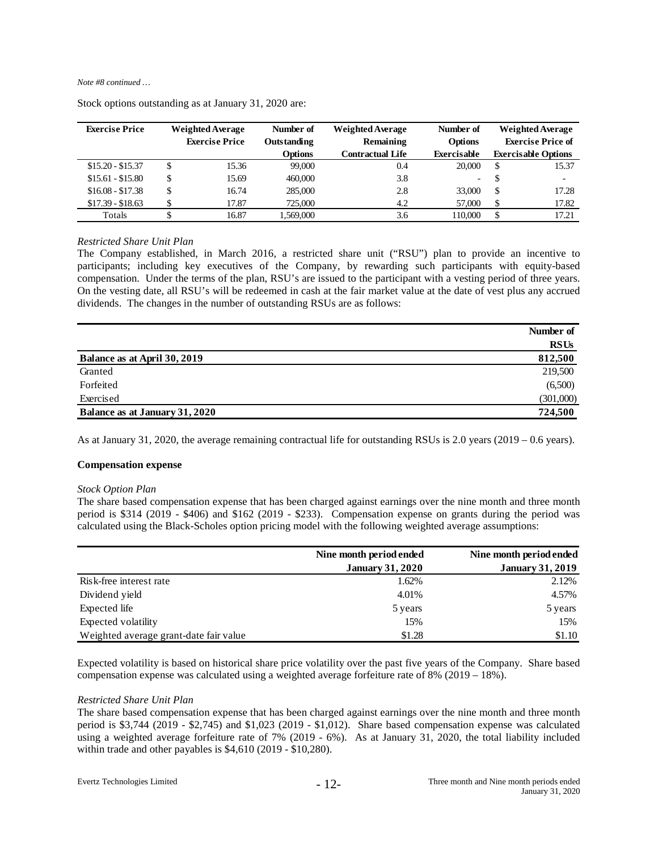#### *Note #8 continued …*

| <b>Exercise Price</b> | <b>Weighted Average</b> |                       | Number of      | <b>Weighted Average</b> | Number of                |               | <b>Weighted Average</b>    |
|-----------------------|-------------------------|-----------------------|----------------|-------------------------|--------------------------|---------------|----------------------------|
|                       |                         | <b>Exercise Price</b> | Outstanding    | Remaining               | <b>Options</b>           |               | <b>Exercise Price of</b>   |
|                       |                         |                       | <b>Options</b> | <b>Contractual Life</b> | Exercisable              |               | <b>Exercisable Options</b> |
| $$15.20 - $15.37$     |                         | 15.36                 | 99,000         | 0.4                     | 20,000                   | <sup>\$</sup> | 15.37                      |
| $$15.61 - $15.80$     | \$                      | 15.69                 | 460,000        | 3.8                     | $\overline{\phantom{a}}$ | <sup>\$</sup> | $\overline{\phantom{0}}$   |
| $$16.08 - $17.38$     | \$                      | 16.74                 | 285,000        | 2.8                     | 33,000                   | <sup>\$</sup> | 17.28                      |
| $$17.39 - $18.63$     |                         | 17.87                 | 725.000        | 4.2                     | 57,000                   | \$            | 17.82                      |
| Totals                |                         | 16.87                 | 1.569.000      | 3.6                     | 110,000                  | \$            | 17.21                      |

Stock options outstanding as at January 31, 2020 are:

#### *Restricted Share Unit Plan*

The Company established, in March 2016, a restricted share unit ("RSU") plan to provide an incentive to participants; including key executives of the Company, by rewarding such participants with equity-based compensation. Under the terms of the plan, RSU's are issued to the participant with a vesting period of three years. On the vesting date, all RSU's will be redeemed in cash at the fair market value at the date of vest plus any accrued dividends. The changes in the number of outstanding RSUs are as follows:

|                                | Number of   |
|--------------------------------|-------------|
|                                | <b>RSUs</b> |
| Balance as at April 30, 2019   | 812,500     |
| Granted                        | 219,500     |
| Forfeited                      | (6,500)     |
| Exercised                      | (301,000)   |
| Balance as at January 31, 2020 | 724,500     |

As at January 31, 2020, the average remaining contractual life for outstanding RSUs is 2.0 years (2019 – 0.6 years).

#### **Compensation expense**

#### *Stock Option Plan*

The share based compensation expense that has been charged against earnings over the nine month and three month period is \$314 (2019 - \$406) and \$162 (2019 - \$233). Compensation expense on grants during the period was calculated using the Black-Scholes option pricing model with the following weighted average assumptions:

|                                        | Nine month period ended | Nine month period ended |
|----------------------------------------|-------------------------|-------------------------|
|                                        | <b>January 31, 2020</b> | <b>January 31, 2019</b> |
| Risk-free interest rate                | 1.62%                   | 2.12%                   |
| Dividend yield                         | 4.01%                   | 4.57%                   |
| Expected life                          | 5 years                 | 5 years                 |
| Expected volatility                    | 15%                     | 15%                     |
| Weighted average grant-date fair value | \$1.28                  | \$1.10                  |

Expected volatility is based on historical share price volatility over the past five years of the Company. Share based compensation expense was calculated using a weighted average for feiture rate of  $8\%$  (2019 – 18%).

#### *Restricted Share Unit Plan*

The share based compensation expense that has been charged against earnings over the nine month and three month period is \$3,744 (2019 - \$2,745) and \$1,023 (2019 - \$1,012). Share based compensation expense was calculated using a weighted average forfeiture rate of 7% (2019 - 6%). As at January 31, 2020, the total liability included within trade and other payables is \$4,610 (2019 - \$10,280).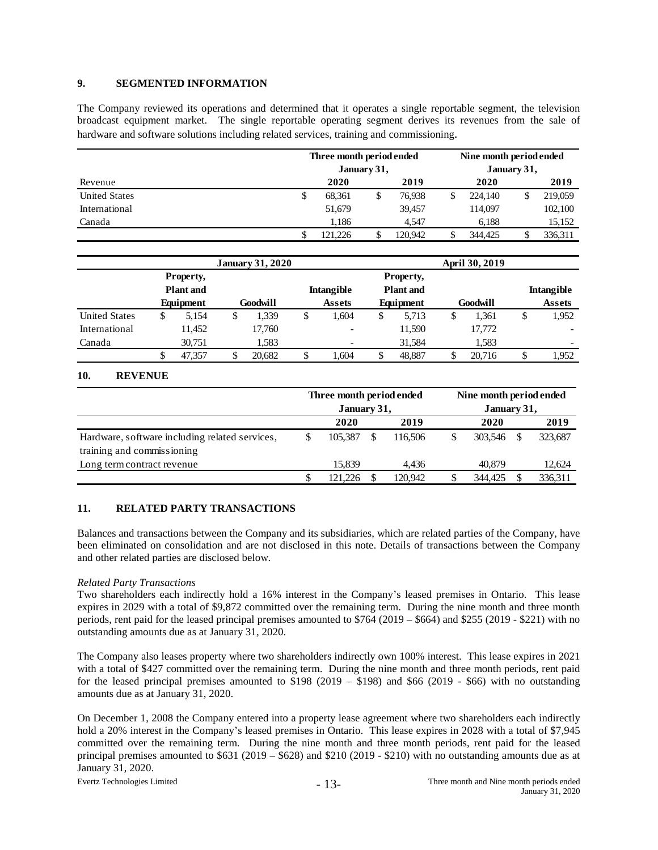#### **9. SEGMENTED INFORMATION**

The Company reviewed its operations and determined that it operates a single reportable segment, the television broadcast equipment market. The single reportable operating segment derives its revenues from the sale of hardware and software solutions including related services, training and commissioning.

|                      | Three month period ended<br>Nine month period ended<br>January 31,<br>January 31, |              |   |         |      |         |  |         |  |
|----------------------|-----------------------------------------------------------------------------------|--------------|---|---------|------|---------|--|---------|--|
| Revenue              |                                                                                   | 2020<br>2019 |   |         | 2020 |         |  | 2019    |  |
| <b>United States</b> | S                                                                                 | 68.361       | S | 76.938  | \$   | 224,140 |  | 219,059 |  |
| International        |                                                                                   | 51,679       |   | 39,457  |      | 114,097 |  | 102,100 |  |
| Canada               |                                                                                   | 1.186        |   | 4.547   |      | 6.188   |  | 15,152  |  |
|                      | S                                                                                 | 121.226      |   | 120.942 |      | 344,425 |  | 336.311 |  |

|                      |                  |        |          | <b>January 31, 2020</b>               |                          | April 30, 2019 |                  |          |        |                   |               |
|----------------------|------------------|--------|----------|---------------------------------------|--------------------------|----------------|------------------|----------|--------|-------------------|---------------|
|                      | Property,        |        |          |                                       |                          |                | <b>Property,</b> |          |        |                   |               |
|                      | <b>Plant</b> and |        |          | <b>Plant</b> and<br><b>Intangible</b> |                          |                |                  |          |        | <b>Intangible</b> |               |
|                      | Equipment        |        | Goodwill |                                       | <b>Assets</b>            | Equipment      |                  | Goodwill |        |                   | <b>Assets</b> |
| <b>United States</b> | \$               | 5.154  |          | 1.339                                 | \$<br>1.604              | \$             | 5.713            | \$       | 1.361  | \$                | 1,952         |
| International        |                  | 11.452 |          | 17,760                                | $\overline{\phantom{a}}$ |                | 11,590           |          | 17,772 |                   |               |
| Canada               |                  | 30,751 |          | 1.583                                 |                          |                | 31,584           |          | 1.583  |                   | -             |
|                      | \$               | 47.357 |          | 20.682                                | \$<br>1.604              |                | 48.887           | \$       | 20.716 |                   | 1.952         |

### **10. REVENUE**

|                                                | Three month period ended<br>January 31, |         |   |         | Nine month period ended |         |      |         |  |
|------------------------------------------------|-----------------------------------------|---------|---|---------|-------------------------|---------|------|---------|--|
|                                                |                                         |         |   |         | January 31,             |         |      |         |  |
|                                                | 2020<br>2019                            |         |   |         | 2020                    |         | 2019 |         |  |
| Hardware, software including related services, | \$                                      | 105.387 | S | 116.506 | \$                      | 303.546 |      | 323,687 |  |
| training and commissioning                     |                                         |         |   |         |                         |         |      |         |  |
| Long term contract revenue                     |                                         | 15.839  |   | 4.436   |                         | 40.879  |      | 12,624  |  |
|                                                | S                                       | 121.226 |   | 120.942 |                         | 344.425 |      | 336,311 |  |

### **11. RELATED PARTY TRANSACTIONS**

Balances and transactions between the Company and its subsidiaries, which are related parties of the Company, have been eliminated on consolidation and are not disclosed in this note. Details of transactions between the Company and other related parties are disclosed below.

### *Related Party Transactions*

Two shareholders each indirectly hold a 16% interest in the Company's leased premises in Ontario. This lease expires in 2029 with a total of \$9,872 committed over the remaining term. During the nine month and three month periods, rent paid for the leased principal premises amounted to \$764 (2019 – \$664) and \$255 (2019 - \$221) with no outstanding amounts due as at January 31, 2020.

The Company also leases property where two shareholders indirectly own 100% interest. This lease expires in 2021 with a total of \$427 committed over the remaining term. During the nine month and three month periods, rent paid for the leased principal premises amounted to  $$198 (2019 - $198)$  and  $$66 (2019 - $66)$  with no outstanding amounts due as at January 31, 2020.

On December 1, 2008 the Company entered into a property lease agreement where two shareholders each indirectly hold a 20% interest in the Company's leased premises in Ontario. This lease expires in 2028 with a total of \$7,945 committed over the remaining term. During the nine month and three month periods, rent paid for the leased principal premises amounted to \$631 (2019 – \$628) and \$210 (2019 - \$210) with no outstanding amounts due as at January 31, 2020.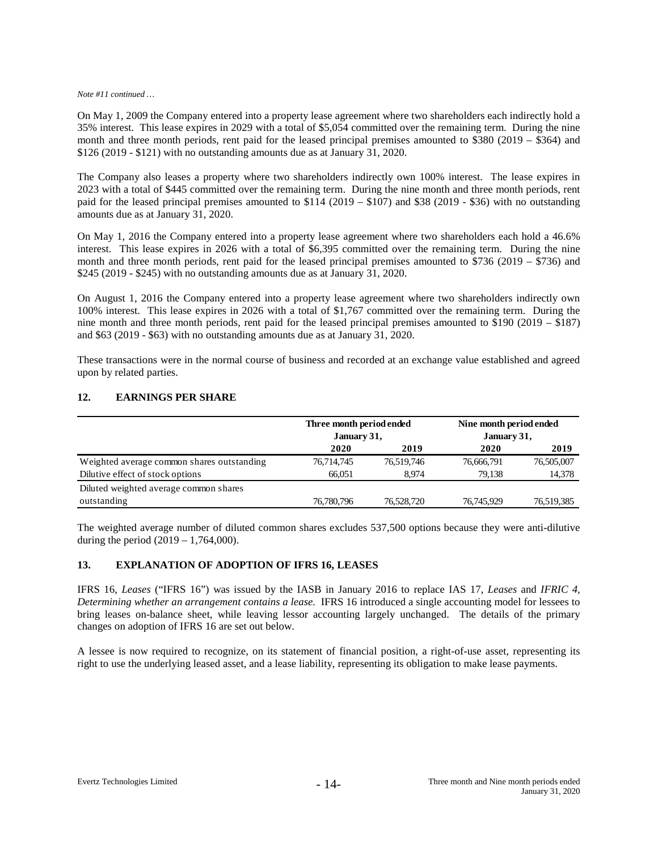#### *Note #11 continued …*

On May 1, 2009 the Company entered into a property lease agreement where two shareholders each indirectly hold a 35% interest. This lease expires in 2029 with a total of \$5,054 committed over the remaining term. During the nine month and three month periods, rent paid for the leased principal premises amounted to \$380 (2019 – \$364) and \$126 (2019 - \$121) with no outstanding amounts due as at January 31, 2020.

The Company also leases a property where two shareholders indirectly own 100% interest. The lease expires in 2023 with a total of \$445 committed over the remaining term. During the nine month and three month periods, rent paid for the leased principal premises amounted to \$114 (2019 – \$107) and \$38 (2019 - \$36) with no outstanding amounts due as at January 31, 2020.

On May 1, 2016 the Company entered into a property lease agreement where two shareholders each hold a 46.6% interest. This lease expires in 2026 with a total of \$6,395 committed over the remaining term. During the nine month and three month periods, rent paid for the leased principal premises amounted to \$736 (2019 – \$736) and \$245 (2019 - \$245) with no outstanding amounts due as at January 31, 2020.

On August 1, 2016 the Company entered into a property lease agreement where two shareholders indirectly own 100% interest. This lease expires in 2026 with a total of \$1,767 committed over the remaining term. During the nine month and three month periods, rent paid for the leased principal premises amounted to \$190 (2019 – \$187) and \$63 (2019 - \$63) with no outstanding amounts due as at January 31, 2020.

These transactions were in the normal course of business and recorded at an exchange value established and agreed upon by related parties.

#### **12. EARNINGS PER SHARE**

|                                            | Three month period ended<br>January 31, |            | Nine month period ended<br>January 31, |            |
|--------------------------------------------|-----------------------------------------|------------|----------------------------------------|------------|
|                                            | 2020                                    | 2019       | 2020                                   | 2019       |
| Weighted average common shares outstanding | 76,714,745                              | 76,519,746 | 76,666,791                             | 76,505,007 |
| Dilutive effect of stock options           | 66.051                                  | 8.974      | 79.138                                 | 14,378     |
| Diluted weighted average common shares     |                                         |            |                                        |            |
| outstanding                                | 76,780,796                              | 76,528,720 | 76,745,929                             | 76,519,385 |

The weighted average number of diluted common shares excludes 537,500 options because they were anti-dilutive during the period  $(2019 - 1,764,000)$ .

#### **13. EXPLANATION OF ADOPTION OF IFRS 16, LEASES**

IFRS 16, *Leases* ("IFRS 16") was issued by the IASB in January 2016 to replace IAS 17, *Leases* and *IFRIC 4, Determining whether an arrangement contains a lease.* IFRS 16 introduced a single accounting model for lessees to bring leases on-balance sheet, while leaving lessor accounting largely unchanged. The details of the primary changes on adoption of IFRS 16 are set out below.

A lessee is now required to recognize, on its statement of financial position, a right-of-use asset, representing its right to use the underlying leased asset, and a lease liability, representing its obligation to make lease payments.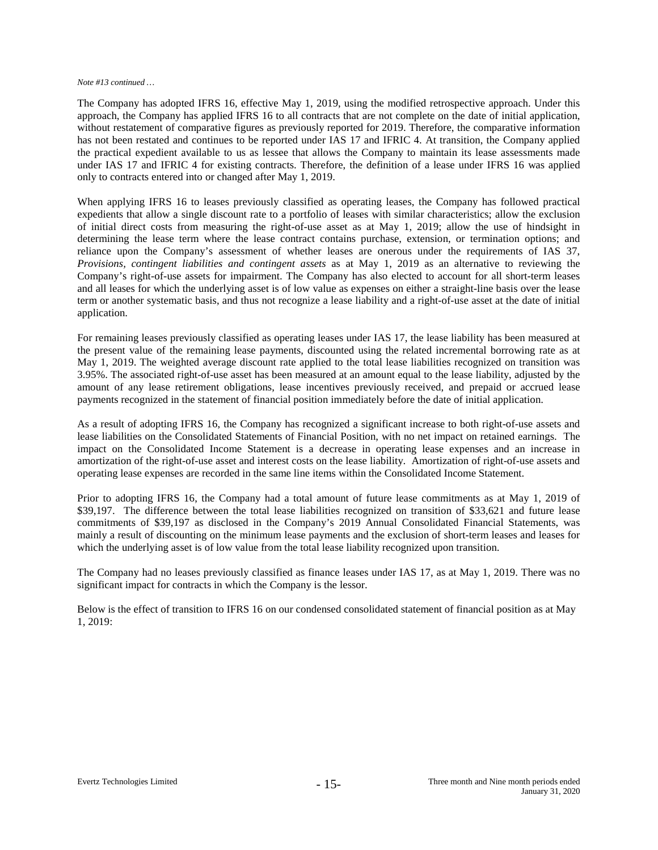#### *Note #13 continued …*

The Company has adopted IFRS 16, effective May 1, 2019, using the modified retrospective approach. Under this approach, the Company has applied IFRS 16 to all contracts that are not complete on the date of initial application, without restatement of comparative figures as previously reported for 2019. Therefore, the comparative information has not been restated and continues to be reported under IAS 17 and IFRIC 4. At transition, the Company applied the practical expedient available to us as lessee that allows the Company to maintain its lease assessments made under IAS 17 and IFRIC 4 for existing contracts. Therefore, the definition of a lease under IFRS 16 was applied only to contracts entered into or changed after May 1, 2019.

When applying IFRS 16 to leases previously classified as operating leases, the Company has followed practical expedients that allow a single discount rate to a portfolio of leases with similar characteristics; allow the exclusion of initial direct costs from measuring the right-of-use asset as at May 1, 2019; allow the use of hindsight in determining the lease term where the lease contract contains purchase, extension, or termination options; and reliance upon the Company's assessment of whether leases are onerous under the requirements of IAS 37, *Provisions, contingent liabilities and contingent assets* as at May 1, 2019 as an alternative to reviewing the Company's right-of-use assets for impairment. The Company has also elected to account for all short-term leases and all leases for which the underlying asset is of low value as expenses on either a straight-line basis over the lease term or another systematic basis, and thus not recognize a lease liability and a right-of-use asset at the date of initial application.

For remaining leases previously classified as operating leases under IAS 17, the lease liability has been measured at the present value of the remaining lease payments, discounted using the related incremental borrowing rate as at May 1, 2019. The weighted average discount rate applied to the total lease liabilities recognized on transition was 3.95%. The associated right-of-use asset has been measured at an amount equal to the lease liability, adjusted by the amount of any lease retirement obligations, lease incentives previously received, and prepaid or accrued lease payments recognized in the statement of financial position immediately before the date of initial application.

As a result of adopting IFRS 16, the Company has recognized a significant increase to both right-of-use assets and lease liabilities on the Consolidated Statements of Financial Position, with no net impact on retained earnings. The impact on the Consolidated Income Statement is a decrease in operating lease expenses and an increase in amortization of the right-of-use asset and interest costs on the lease liability. Amortization of right-of-use assets and operating lease expenses are recorded in the same line items within the Consolidated Income Statement.

Prior to adopting IFRS 16, the Company had a total amount of future lease commitments as at May 1, 2019 of \$39,197. The difference between the total lease liabilities recognized on transition of \$33,621 and future lease commitments of \$39,197 as disclosed in the Company's 2019 Annual Consolidated Financial Statements, was mainly a result of discounting on the minimum lease payments and the exclusion of short-term leases and leases for which the underlying asset is of low value from the total lease liability recognized upon transition.

The Company had no leases previously classified as finance leases under IAS 17, as at May 1, 2019. There was no significant impact for contracts in which the Company is the lessor.

Below is the effect of transition to IFRS 16 on our condensed consolidated statement of financial position as at May 1, 2019: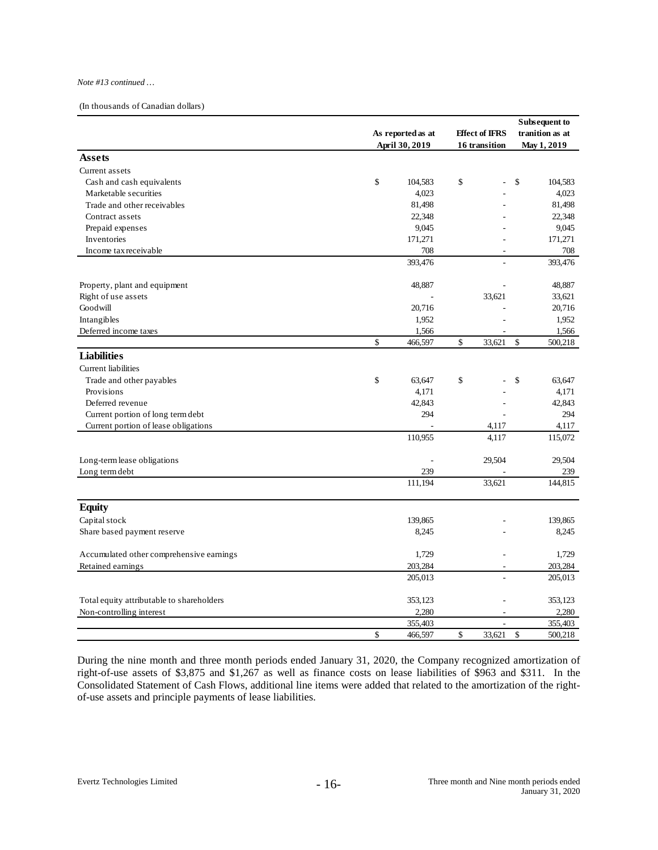#### *Note #13 continued …*

(In thousands of Canadian dollars)

|                                           | As reported as at |    | <b>Effect of IFRS</b>    |    | Subsequent to<br>tranition as at |
|-------------------------------------------|-------------------|----|--------------------------|----|----------------------------------|
|                                           | April 30, 2019    |    | 16 transition            |    | May 1, 2019                      |
| <b>Assets</b>                             |                   |    |                          |    |                                  |
| Current assets                            |                   |    |                          |    |                                  |
| Cash and cash equivalents                 | \$<br>104,583     | \$ |                          | \$ | 104,583                          |
| Marketable securities                     | 4,023             |    |                          |    | 4,023                            |
| Trade and other receivables               | 81,498            |    |                          |    | 81,498                           |
| Contract assets                           | 22,348            |    |                          |    | 22,348                           |
| Prepaid expenses                          | 9,045             |    |                          |    | 9,045                            |
| Inventories                               | 171,271           |    |                          |    | 171,271                          |
| Income tax receivable                     | 708               |    | $\overline{\phantom{a}}$ |    | 708                              |
|                                           | 393,476           |    |                          |    | 393,476                          |
| Property, plant and equipment             | 48,887            |    |                          |    | 48.887                           |
| Right of use assets                       |                   |    | 33,621                   |    | 33,621                           |
| Goodwill                                  | 20,716            |    |                          |    | 20,716                           |
| Intangibles                               | 1,952             |    |                          |    | 1,952                            |
| Deferred income taxes                     | 1,566             |    |                          |    | 1,566                            |
|                                           | \$<br>466,597     | \$ | 33,621                   | \$ | 500,218                          |
| <b>Liabilities</b>                        |                   |    |                          |    |                                  |
| Current liabilities                       |                   |    |                          |    |                                  |
| Trade and other payables                  | \$<br>63,647      | \$ |                          | \$ | 63,647                           |
| Provisions                                | 4,171             |    |                          |    | 4,171                            |
| Deferred revenue                          | 42,843            |    |                          |    | 42,843                           |
| Current portion of long term debt         | 294               |    |                          |    | 294                              |
| Current portion of lease obligations      |                   |    | 4,117                    |    | 4,117                            |
|                                           | 110,955           |    | 4,117                    |    | 115,072                          |
| Long-term lease obligations               |                   |    | 29,504                   |    | 29,504                           |
| Long term debt                            | 239               |    |                          |    | 239                              |
|                                           | 111,194           |    | 33,621                   |    | 144,815                          |
| <b>Equity</b>                             |                   |    |                          |    |                                  |
| Capital stock                             | 139,865           |    |                          |    | 139,865                          |
| Share based payment reserve               | 8,245             |    |                          |    | 8,245                            |
|                                           |                   |    |                          |    |                                  |
| Accumulated other comprehensive earnings  | 1,729             |    | ÷                        |    | 1,729                            |
| Retained earnings                         | 203,284           |    | ÷,                       |    | 203,284                          |
|                                           | 205,013           |    |                          |    | 205,013                          |
| Total equity attributable to shareholders | 353,123           |    | ä,                       |    | 353,123                          |
| Non-controlling interest                  | 2,280             |    |                          |    | 2,280                            |
|                                           | 355,403           |    | $\overline{\phantom{a}}$ |    | 355,403                          |
|                                           | \$<br>466,597     | \$ | 33,621                   | \$ | 500,218                          |

During the nine month and three month periods ended January 31, 2020, the Company recognized amortization of right-of-use assets of \$3,875 and \$1,267 as well as finance costs on lease liabilities of \$963 and \$311. In the Consolidated Statement of Cash Flows, additional line items were added that related to the amortization of the rightof-use assets and principle payments of lease liabilities.